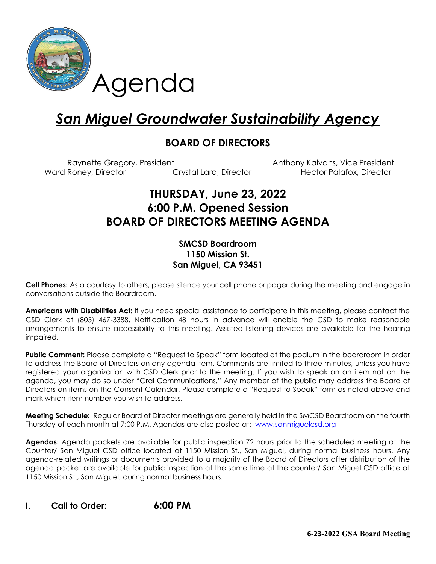

# *San Miguel Groundwater Sustainability Agency*

### **BOARD OF DIRECTORS**

Raynette Gregory, President Anthony Kalvans, Vice President Ward Roney, Director **Crystal Lara, Director** Hector Palafox, Director **Mateurs** 

# **THURSDAY, June 23, 2022 6:00 P.M. Opened Session BOARD OF DIRECTORS MEETING AGENDA**

#### **SMCSD Boardroom 1150 Mission St. San Miguel, CA 93451**

**Cell Phones:** As a courtesy to others, please silence your cell phone or pager during the meeting and engage in conversations outside the Boardroom.

**Americans with Disabilities Act:** If you need special assistance to participate in this meeting, please contact the CSD Clerk at (805) 467-3388. Notification 48 hours in advance will enable the CSD to make reasonable arrangements to ensure accessibility to this meeting. Assisted listening devices are available for the hearing impaired.

**Public Comment:** Please complete a "Request to Speak" form located at the podium in the boardroom in order to address the Board of Directors on any agenda item. Comments are limited to three minutes, unless you have registered your organization with CSD Clerk prior to the meeting. If you wish to speak on an item not on the agenda, you may do so under "Oral Communications." Any member of the public may address the Board of Directors on items on the Consent Calendar. Please complete a "Request to Speak" form as noted above and mark which item number you wish to address.

**Meeting Schedule:** Regular Board of Director meetings are generally held in the SMCSD Boardroom on the fourth Thursday of each month at 7:00 P.M. Agendas are also posted at: [www.sanmiguelcsd.org](http://www.sanmiguelcsd.org/)

**Agendas:** Agenda packets are available for public inspection 72 hours prior to the scheduled meeting at the Counter/ San Miguel CSD office located at 1150 Mission St., San Miguel, during normal business hours. Any agenda-related writings or documents provided to a majority of the Board of Directors after distribution of the agenda packet are available for public inspection at the same time at the counter/ San Miguel CSD office at 1150 Mission St., San Miguel, during normal business hours.

## **I. Call to Order: 6:00 PM**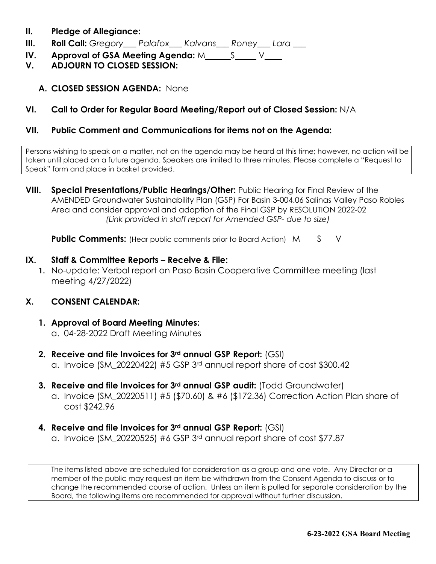- **II. Pledge of Allegiance:**
- **III. Roll Call:** *Gregory\_\_\_ Palafox\_\_\_ Kalvans\_\_\_ Roney\_\_\_ Lara \_\_\_*
- **IV.** Approval of GSA Meeting Agenda: M S V
- **V. ADJOURN TO CLOSED SESSION:** 
	- **A. CLOSED SESSION AGENDA:** None

#### **VI. Call to Order for Regular Board Meeting/Report out of Closed Session:** N/A

#### **VII. Public Comment and Communications for items not on the Agenda:**

Persons wishing to speak on a matter, not on the agenda may be heard at this time; however, no action will be taken until placed on a future agenda. Speakers are limited to three minutes. Please complete a "Request to Speak" form and place in basket provided.

**VIII. Special Presentations/Public Hearings/Other:** Public Hearing for Final Review of the AMENDED Groundwater Sustainability Plan (GSP) For Basin 3-004.06 Salinas Valley Paso Robles Area and consider approval and adoption of the Final GSP by RESOLUTION 2022-02 *(Link provided in staff report for Amended GSP- due to size)*

**Public Comments:** (Hear public comments prior to Board Action) M S V

#### **IX. Staff & Committee Reports – Receive & File:**

**1.** No-update: Verbal report on Paso Basin Cooperative Committee meeting (last meeting 4/27/2022)

#### **X. CONSENT CALENDAR:**

- **1. Approval of Board Meeting Minutes:**  a. 04-28-2022 Draft Meeting Minutes
- **2. Receive and file Invoices for 3rd annual GSP Report:** (GSI)
	- a. Invoice (SM\_20220422) #5 GSP 3rd annual report share of cost \$300.42
- **3. Receive and file Invoices for 3rd annual GSP audit:** (Todd Groundwater)
	- a. Invoice (SM\_20220511) #5 (\$70.60) & #6 (\$172.36) Correction Action Plan share of cost \$242.96
- **4. Receive and file Invoices for 3rd annual GSP Report:** (GSI)
	- a. Invoice (SM\_20220525) #6 GSP 3rd annual report share of cost \$77.87

The items listed above are scheduled for consideration as a group and one vote. Any Director or a member of the public may request an item be withdrawn from the Consent Agenda to discuss or to change the recommended course of action. Unless an item is pulled for separate consideration by the Board, the following items are recommended for approval without further discussion.